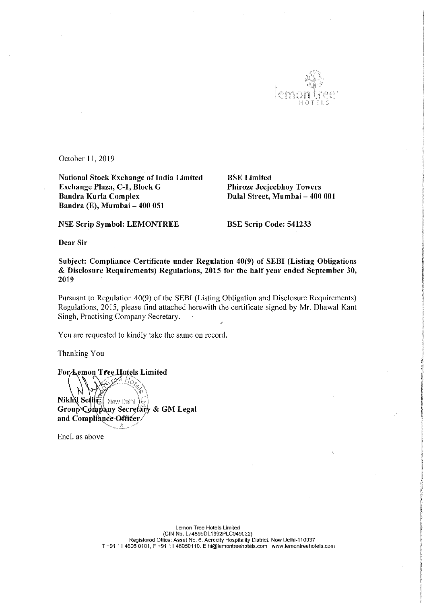

October 11, 2019

National Stock Exchange of India Limited<br>
BSE Limited<br>
Bracklange Plaza, C-1, Block G<br>
Bhiroze Jeejeebhoy Towers Exchange Plaza, C-1, Block G Bandra Kurla Complex Bandra (E), Mumbai — 400 051

Dalal Street, Mumbai - 400 001

NSE Scrip Symbol: LEMONTREE BSE Scrip Code: 541233

Dear Sir

Subject: Compliance Certificate under Regulation 40(9) of SEBI (Listing Obligations & Disclosure Requirements) Regulations, <sup>2015</sup> for the half year ended September 30, 2019

Pursuant to Regulation 40(9) of the SEBI (Listing Obligation and Disclosure Requirements) Regulations, 2015, please find attached herewith the certificate signed by Mr. Dhawal Kant Singh, Practising Company Secretary.

You are requested to kindly take the same on record.

Thanking You

For Lemon Tree Hotels Limited

Nikhu Sethe | New Delhi y Secretary & GM Legal and Compliance Officer

Encl. as above